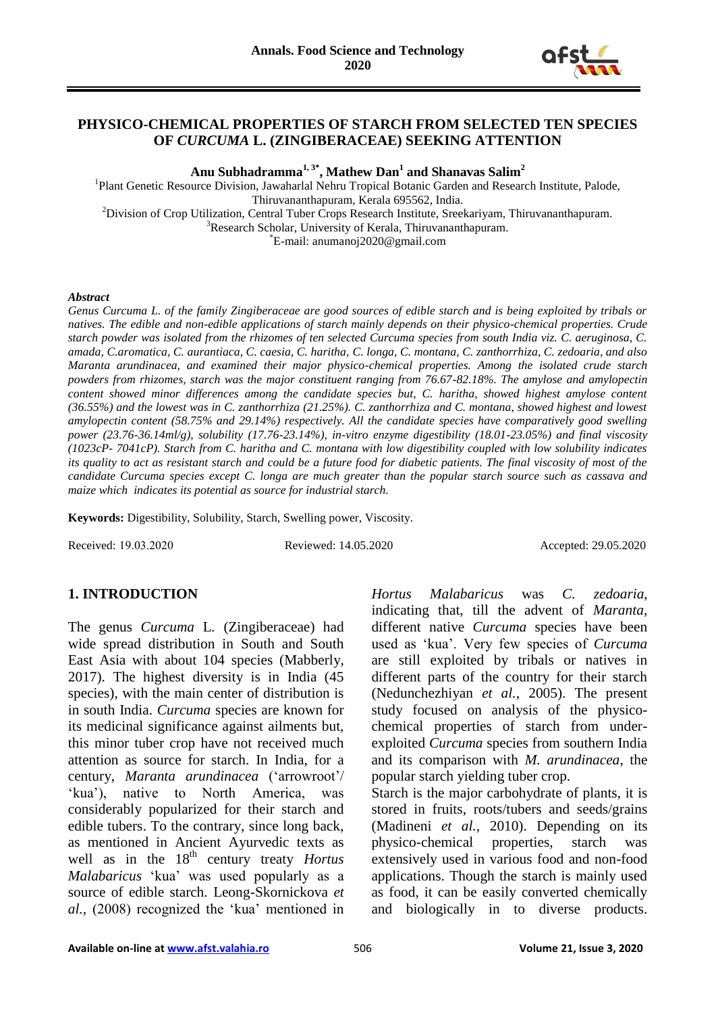

#### **PHYSICO-CHEMICAL PROPERTIES OF STARCH FROM SELECTED TEN SPECIES OF** *CURCUMA* **L. (ZINGIBERACEAE) SEEKING ATTENTION**

**Anu Subhadramma1, 3\*, Mathew Dan<sup>1</sup> and Shanavas Salim<sup>2</sup>**

<sup>1</sup>Plant Genetic Resource Division, Jawaharlal Nehru Tropical Botanic Garden and Research Institute, Palode, Thiruvananthapuram, Kerala 695562, India. <sup>2</sup>Division of Crop Utilization, Central Tuber Crops Research Institute, Sreekariyam, Thiruvananthapuram.

<sup>3</sup>Research Scholar, University of Kerala, Thiruvananthapuram.

\*E-mail: anumanoj2020@gmail.com

#### *Abstract*

*Genus Curcuma L. of the family Zingiberaceae are good sources of edible starch and is being exploited by tribals or natives. The edible and non-edible applications of starch mainly depends on their physico-chemical properties. Crude starch powder was isolated from the rhizomes of ten selected Curcuma species from south India viz. C. aeruginosa, C. amada, C.aromatica, C. aurantiaca, C. caesia, C. haritha, C. longa, C. montana, C. zanthorrhiza, C. zedoaria, and also Maranta arundinacea, and examined their major physico-chemical properties. Among the isolated crude starch powders from rhizomes, starch was the major constituent ranging from 76.67-82.18%. The amylose and amylopectin content showed minor differences among the candidate species but, C. haritha, showed highest amylose content (36.55%) and the lowest was in C. zanthorrhiza (21.25%). C. zanthorrhiza and C. montana, showed highest and lowest amylopectin content (58.75% and 29.14%) respectively. All the candidate species have comparatively good swelling power (23.76-36.14ml/g), solubility (17.76-23.14%), in-vitro enzyme digestibility (18.01-23.05%) and final viscosity (1023cP- 7041cP). Starch from C. haritha and C. montana with low digestibility coupled with low solubility indicates its quality to act as resistant starch and could be a future food for diabetic patients. The final viscosity of most of the candidate Curcuma species except C. longa are much greater than the popular starch source such as cassava and maize which indicates its potential as source for industrial starch.*

**Keywords:** Digestibility, Solubility, Starch, Swelling power, Viscosity.

Received: 19.03.2020 Reviewed: 14.05.2020 Accepted: 29.05.2020

#### **1. INTRODUCTION**

The genus *Curcuma* L*.* (Zingiberaceae) had wide spread distribution in South and South East Asia with about 104 species (Mabberly, 2017). The highest diversity is in India (45 species), with the main center of distribution is in south India. *Curcuma* species are known for its medicinal significance against ailments but, this minor tuber crop have not received much attention as source for starch. In India, for a century, *Maranta arundinacea* ('arrowroot'/ 'kua'), native to North America, was considerably popularized for their starch and edible tubers. To the contrary, since long back, as mentioned in Ancient Ayurvedic texts as well as in the 18<sup>th</sup> century treaty *Hortus Malabaricus* 'kua' was used popularly as a source of edible starch. Leong-Skornickova *et al.,* (2008) recognized the 'kua' mentioned in

*Hortus Malabaricus* was *C. zedoaria*, indicating that, till the advent of *Maranta*, different native *Curcuma* species have been used as 'kua'. Very few species of *Curcuma* are still exploited by tribals or natives in different parts of the country for their starch (Nedunchezhiyan *et al.,* 2005). The present study focused on analysis of the physicochemical properties of starch from underexploited *Curcuma* species from southern India and its comparison with *M. arundinacea*, the popular starch yielding tuber crop.

Starch is the major carbohydrate of plants, it is stored in fruits, roots/tubers and seeds/grains (Madineni *et al.,* 2010). Depending on its physico-chemical properties, starch was extensively used in various food and non-food applications. Though the starch is mainly used as food, it can be easily converted chemically and biologically in to diverse products.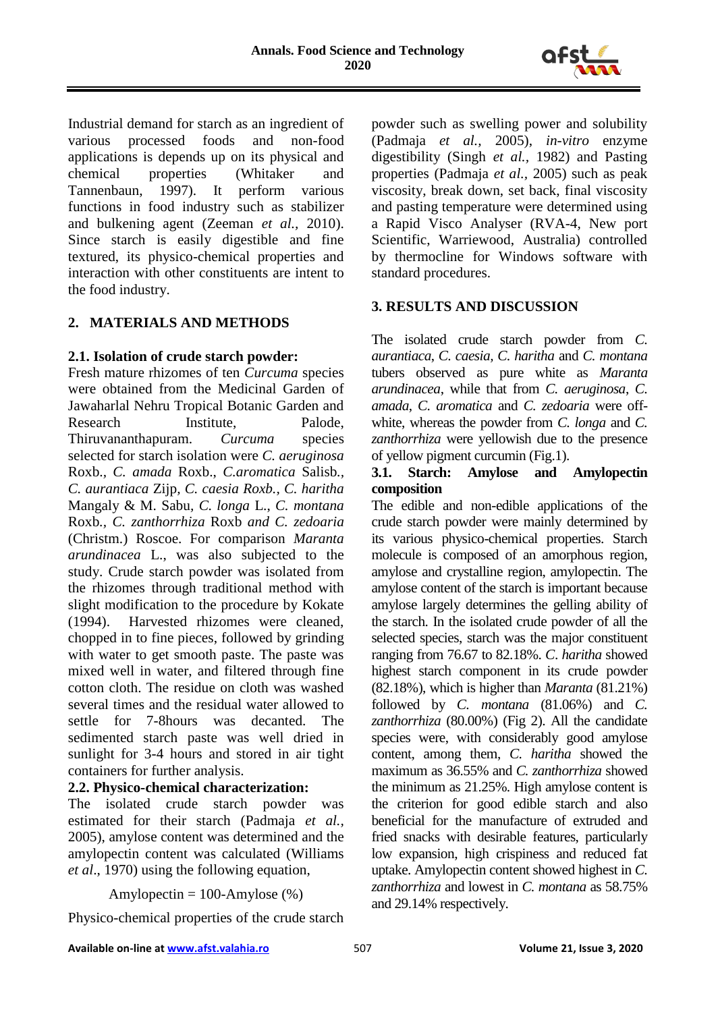

Industrial demand for starch as an ingredient of various processed foods and non-food applications is depends up on its physical and chemical properties (Whitaker and Tannenbaun, 1997). It perform various functions in food industry such as stabilizer and bulkening agent (Zeeman *et al.,* 2010). Since starch is easily digestible and fine textured, its physico-chemical properties and interaction with other constituents are intent to the food industry.

# **2. MATERIALS AND METHODS**

### **2.1. Isolation of crude starch powder:**

Fresh mature rhizomes of ten *Curcuma* species were obtained from the Medicinal Garden of Jawaharlal Nehru Tropical Botanic Garden and Research Institute, Palode, Thiruvananthapuram. *Curcuma* species selected for starch isolation were *C. aeruginosa*  Roxb.*, C. amada* Roxb., *C.aromatica* Salisb*., C. aurantiaca* Zijp*, C. caesia Roxb., C. haritha*  Mangaly & M. Sabu*, C. longa* L., *C. montana*  Roxb*., C. zanthorrhiza* Roxb *and C. zedoaria*  (Christm.) Roscoe. For comparison *Maranta arundinacea* L., was also subjected to the study. Crude starch powder was isolated from the rhizomes through traditional method with slight modification to the procedure by Kokate (1994). Harvested rhizomes were cleaned, chopped in to fine pieces, followed by grinding with water to get smooth paste. The paste was mixed well in water, and filtered through fine cotton cloth. The residue on cloth was washed several times and the residual water allowed to settle for 7-8hours was decanted. The sedimented starch paste was well dried in sunlight for 3-4 hours and stored in air tight containers for further analysis.

## **2.2. Physico-chemical characterization:**

The isolated crude starch powder was estimated for their starch (Padmaja *et al.,* 2005), amylose content was determined and the amylopectin content was calculated (Williams *et al*., 1970) using the following equation,

Amylopectin =  $100$ -Amylose (%)

Physico-chemical properties of the crude starch

powder such as swelling power and solubility (Padmaja *et al.,* 2005), *in-vitro* enzyme digestibility (Singh *et al.,* 1982) and Pasting properties (Padmaja *et al.,* 2005) such as peak viscosity, break down, set back, final viscosity and pasting temperature were determined using a Rapid Visco Analyser (RVA-4, New port Scientific, Warriewood, Australia) controlled by thermocline for Windows software with standard procedures.

## **3. RESULTS AND DISCUSSION**

The isolated crude starch powder from *C. aurantiaca*, *C. caesia, C. haritha* and *C. montana* tubers observed as pure white as *Maranta arundinacea*, while that from *C. aeruginosa*, *C. amada*, *C. aromatica* and *C. zedoaria* were offwhite, whereas the powder from *C. longa* and *C. zanthorrhiza* were yellowish due to the presence of yellow pigment curcumin (Fig.1).

## **3.1. Starch: Amylose and Amylopectin composition**

The edible and non-edible applications of the crude starch powder were mainly determined by its various physico-chemical properties. Starch molecule is composed of an amorphous region, amylose and crystalline region, amylopectin. The amylose content of the starch is important because amylose largely determines the gelling ability of the starch. In the isolated crude powder of all the selected species, starch was the major constituent ranging from 76.67 to 82.18%. *C*. *haritha* showed highest starch component in its crude powder (82.18%), which is higher than *Maranta* (81.21%) followed by *C. montana* (81.06%) and *C. zanthorrhiza* (80.00%) (Fig 2). All the candidate species were, with considerably good amylose content, among them, *C. haritha* showed the maximum as 36.55% and *C. zanthorrhiza* showed the minimum as 21.25%. High amylose content is the criterion for good edible starch and also beneficial for the manufacture of extruded and fried snacks with desirable features, particularly low expansion, high crispiness and reduced fat uptake. Amylopectin content showed highest in *C. zanthorrhiza* and lowest in *C. montana* as 58.75% and 29.14% respectively.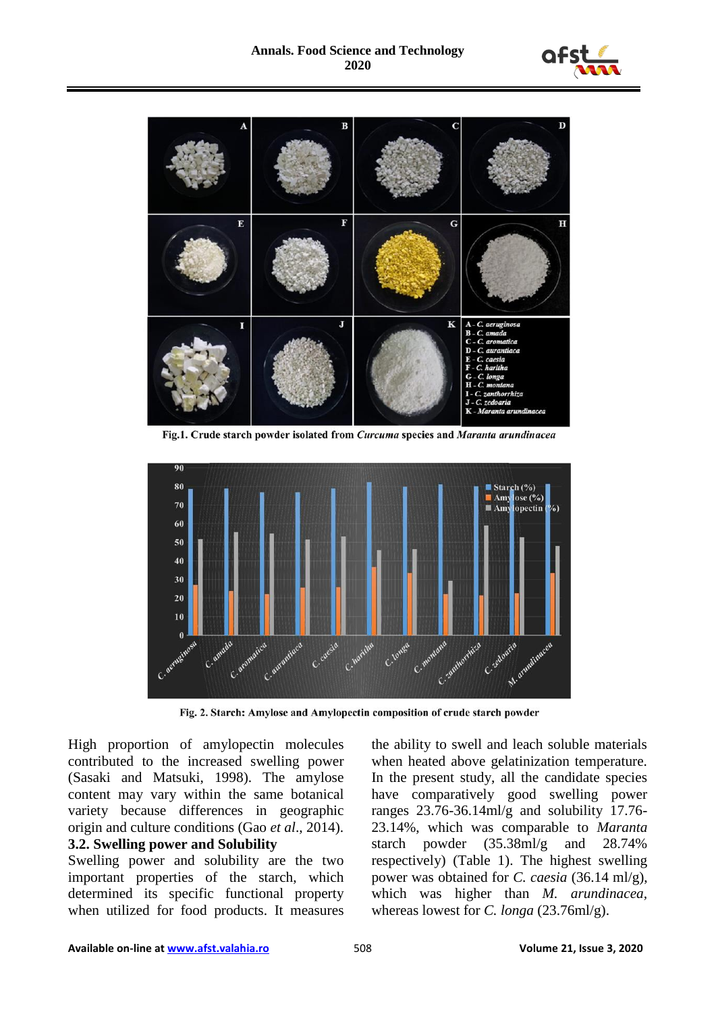



Fig.1. Crude starch powder isolated from Curcuma species and Maranta arundinacea



Fig. 2. Starch: Amylose and Amylopectin composition of crude starch powder

High proportion of amylopectin molecules contributed to the increased swelling power (Sasaki and Matsuki, 1998). The amylose content may vary within the same botanical variety because differences in geographic origin and culture conditions (Gao *et al*., 2014). **3.2. Swelling power and Solubility**

Swelling power and solubility are the two important properties of the starch, which determined its specific functional property when utilized for food products. It measures

the ability to swell and leach soluble materials when heated above gelatinization temperature. In the present study, all the candidate species have comparatively good swelling power ranges 23.76-36.14ml/g and solubility 17.76- 23.14%, which was comparable to *Maranta* starch powder (35.38ml/g and 28.74% respectively) (Table 1). The highest swelling power was obtained for *C. caesia* (36.14 ml/g), which was higher than *M. arundinacea,*  whereas lowest for *C. longa* (23.76ml/g).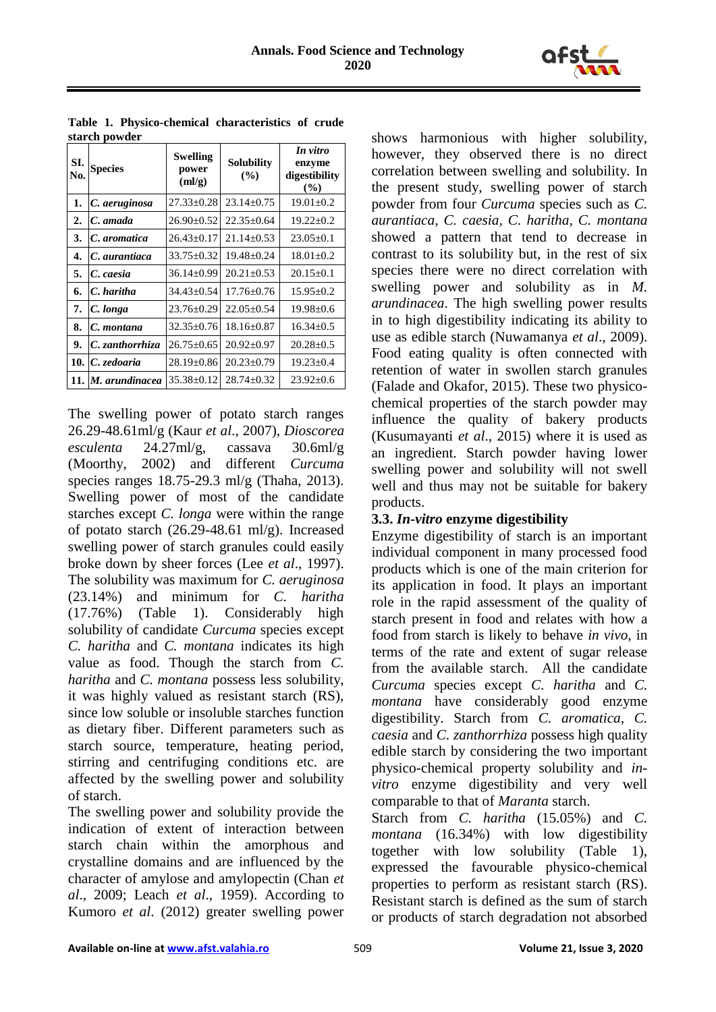

| SI.<br>No.       | buu vu pon uci<br><b>Species</b> | Swelling<br>power<br>(ml/g) | <b>Solubility</b><br>(%) | In vitro<br>enzyme<br>digestibility<br>(%) |
|------------------|----------------------------------|-----------------------------|--------------------------|--------------------------------------------|
| 1.               | C. aeruginosa                    | $27.33 \pm 0.28$            | $23.14 \pm 0.75$         | $19.01 \pm 0.2$                            |
| $\overline{2}$ . | C. amada                         | $26.90 \pm 0.52$            | $22.35 \pm 0.64$         | $19.22 \pm 0.2$                            |
| 3.               | C. aromatica                     | $26.43 \pm 0.17$            | $21.14 \pm 0.53$         | $23.05 \pm 0.1$                            |
| 4.               | C. aurantiaca                    | $33.75 \pm 0.32$            | $19.48 \pm 0.24$         | $18.01 \pm 0.2$                            |
| 5.               | C. caesia                        | $36.14 \pm 0.99$            | $20.21 \pm 0.53$         | $20.15 \pm 0.1$                            |
| 6.               | C. haritha                       | $34.43 \pm 0.54$            | $17.76 \pm 0.76$         | $15.95 \pm 0.2$                            |
| 7.               | C. longa                         | $23.76 \pm 0.29$            | $22.05 \pm 0.54$         | $19.98 \pm 0.6$                            |
| 8.               | C. montana                       | $32.35 \pm 0.76$            | $18.16 \pm 0.87$         | $16.34 \pm 0.5$                            |
| 9.               | C. zanthorrhiza                  | $26.75 \pm 0.65$            | $20.92 \pm 0.97$         | $20.28 \pm 0.5$                            |
|                  | 10. $ C$ . zedoaria              | $28.19 \pm 0.86$            | $20.23 \pm 0.79$         | $19.23 \pm 0.4$                            |
|                  | 11. M. arundinacea               | $35.38 \pm 0.12$            | $28.74 \pm 0.32$         | $23.92 \pm 0.6$                            |

**Table 1. Physico-chemical characteristics of crude starch powder**

The swelling power of potato starch ranges 26.29-48.61ml/g (Kaur *et al*., 2007), *Dioscorea esculenta* 24.27ml/g, cassava 30.6ml/g (Moorthy, 2002) and different *Curcuma* species ranges 18.75-29.3 ml/g (Thaha, 2013). Swelling power of most of the candidate starches except *C. longa* were within the range of potato starch  $(26.29-48.61 \text{ mJ/g})$ . Increased swelling power of starch granules could easily broke down by sheer forces (Lee *et al*., 1997). The solubility was maximum for *C. aeruginosa* (23.14%) and minimum for *C. haritha* (17.76%) (Table 1). Considerably high solubility of candidate *Curcuma* species except *C. haritha* and *C. montana* indicates its high value as food. Though the starch from *C. haritha* and *C. montana* possess less solubility, it was highly valued as resistant starch (RS), since low soluble or insoluble starches function as dietary fiber. Different parameters such as starch source, temperature, heating period, stirring and centrifuging conditions etc. are affected by the swelling power and solubility of starch.

The swelling power and solubility provide the indication of extent of interaction between starch chain within the amorphous and crystalline domains and are influenced by the character of amylose and amylopectin (Chan *et al*., 2009; Leach *et al*., 1959). According to Kumoro *et al*. (2012) greater swelling power

shows harmonious with higher solubility, however, they observed there is no direct correlation between swelling and solubility. In the present study, swelling power of starch powder from four *Curcuma* species such as *C. aurantiaca, C. caesia, C. haritha, C. montana* showed a pattern that tend to decrease in contrast to its solubility but, in the rest of six species there were no direct correlation with swelling power and solubility as in *M. arundinacea*. The high swelling power results in to high digestibility indicating its ability to use as edible starch (Nuwamanya *et al*., 2009). Food eating quality is often connected with retention of water in swollen starch granules (Falade and Okafor, 2015). These two physicochemical properties of the starch powder may influence the quality of bakery products (Kusumayanti *et al*., 2015) where it is used as an ingredient. Starch powder having lower swelling power and solubility will not swell well and thus may not be suitable for bakery products.

#### **3.3.** *In-vitro* **enzyme digestibility**

Enzyme digestibility of starch is an important individual component in many processed food products which is one of the main criterion for its application in food. It plays an important role in the rapid assessment of the quality of starch present in food and relates with how a food from starch is likely to behave *in vivo*, in terms of the rate and extent of sugar release from the available starch. All the candidate *Curcuma* species except *C. haritha* and *C. montana* have considerably good enzyme digestibility. Starch from *C. aromatica, C. caesia* and *C. zanthorrhiza* possess high quality edible starch by considering the two important physico-chemical property solubility and *invitro* enzyme digestibility and very well comparable to that of *Maranta* starch.

Starch from *C. haritha* (15.05%) and *C. montana* (16.34%) with low digestibility together with low solubility (Table 1), expressed the favourable physico-chemical properties to perform as resistant starch (RS). Resistant starch is defined as the sum of starch or products of starch degradation not absorbed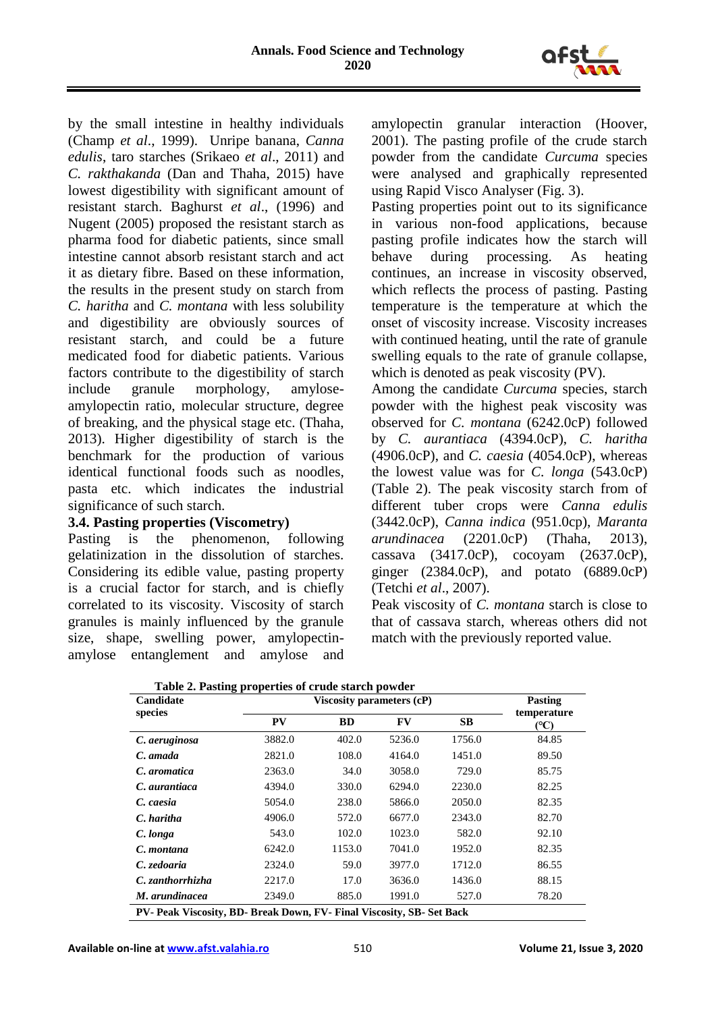

by the small intestine in healthy individuals (Champ *et al*., 1999). Unripe banana, *Canna edulis*, taro starches (Srikaeo *et al*., 2011) and *C. rakthakanda* (Dan and Thaha, 2015) have lowest digestibility with significant amount of resistant starch. Baghurst *et al*., (1996) and Nugent (2005) proposed the resistant starch as pharma food for diabetic patients, since small intestine cannot absorb resistant starch and act it as dietary fibre. Based on these information, the results in the present study on starch from *C. haritha* and *C. montana* with less solubility and digestibility are obviously sources of resistant starch, and could be a future medicated food for diabetic patients. Various factors contribute to the digestibility of starch include granule morphology, amyloseamylopectin ratio, molecular structure, degree of breaking, and the physical stage etc. (Thaha, 2013). Higher digestibility of starch is the benchmark for the production of various identical functional foods such as noodles, pasta etc. which indicates the industrial significance of such starch.

### **3.4. Pasting properties (Viscometry)**

Pasting is the phenomenon, following gelatinization in the dissolution of starches. Considering its edible value, pasting property is a crucial factor for starch, and is chiefly correlated to its viscosity. Viscosity of starch granules is mainly influenced by the granule size, shape, swelling power, amylopectinamylose entanglement and amylose and

amylopectin granular interaction (Hoover, 2001). The pasting profile of the crude starch powder from the candidate *Curcuma* species were analysed and graphically represented using Rapid Visco Analyser (Fig. 3).

Pasting properties point out to its significance in various non-food applications, because pasting profile indicates how the starch will behave during processing. As heating continues, an increase in viscosity observed, which reflects the process of pasting. Pasting temperature is the temperature at which the onset of viscosity increase. Viscosity increases with continued heating, until the rate of granule swelling equals to the rate of granule collapse, which is denoted as peak viscosity (PV).

Among the candidate *Curcuma* species, starch powder with the highest peak viscosity was observed for *C. montana* (6242.0cP) followed by *C. aurantiaca* (4394.0cP), *C. haritha* (4906.0cP), and *C. caesia* (4054.0cP), whereas the lowest value was for *C. longa* (543.0cP) (Table 2). The peak viscosity starch from of different tuber crops were *Canna edulis* (3442.0cP), *Canna indica* (951.0cp), *Maranta arundinacea* (2201.0cP) (Thaha, 2013), cassava (3417.0cP), cocoyam (2637.0cP), ginger (2384.0cP), and potato (6889.0cP) (Tetchi *et al*., 2007).

Peak viscosity of *C. montana* starch is close to that of cassava starch, whereas others did not match with the previously reported value.

| Table 2. Pasting properties of crude starch powder                    |                           |                |        |        |                     |  |  |  |
|-----------------------------------------------------------------------|---------------------------|----------------|--------|--------|---------------------|--|--|--|
| Candidate                                                             | Viscosity parameters (cP) | <b>Pasting</b> |        |        |                     |  |  |  |
| species                                                               | <b>PV</b>                 | <b>BD</b>      | FV     | SВ     | temperature<br>(°C) |  |  |  |
| C. aeruginosa                                                         | 3882.0                    | 402.0          | 5236.0 | 1756.0 | 84.85               |  |  |  |
| C. amada                                                              | 2821.0                    | 108.0          | 4164.0 | 1451.0 | 89.50               |  |  |  |
| C. aromatica                                                          | 2363.0                    | 34.0           | 3058.0 | 729.0  | 85.75               |  |  |  |
| C. aurantiaca                                                         | 4394.0                    | 330.0          | 6294.0 | 2230.0 | 82.25               |  |  |  |
| C. caesia                                                             | 5054.0                    | 238.0          | 5866.0 | 2050.0 | 82.35               |  |  |  |
| C. haritha                                                            | 4906.0                    | 572.0          | 6677.0 | 2343.0 | 82.70               |  |  |  |
| C. longa                                                              | 543.0                     | 102.0          | 1023.0 | 582.0  | 92.10               |  |  |  |
| C. montana                                                            | 6242.0                    | 1153.0         | 7041.0 | 1952.0 | 82.35               |  |  |  |
| C. zedoaria                                                           | 2324.0                    | 59.0           | 3977.0 | 1712.0 | 86.55               |  |  |  |
| C. zanthorrhizha                                                      | 2217.0                    | 17.0           | 3636.0 | 1436.0 | 88.15               |  |  |  |
| M. arundinacea                                                        | 2349.0                    | 885.0          | 1991.0 | 527.0  | 78.20               |  |  |  |
| PV- Peak Viscosity, BD- Break Down, FV- Final Viscosity, SB- Set Back |                           |                |        |        |                     |  |  |  |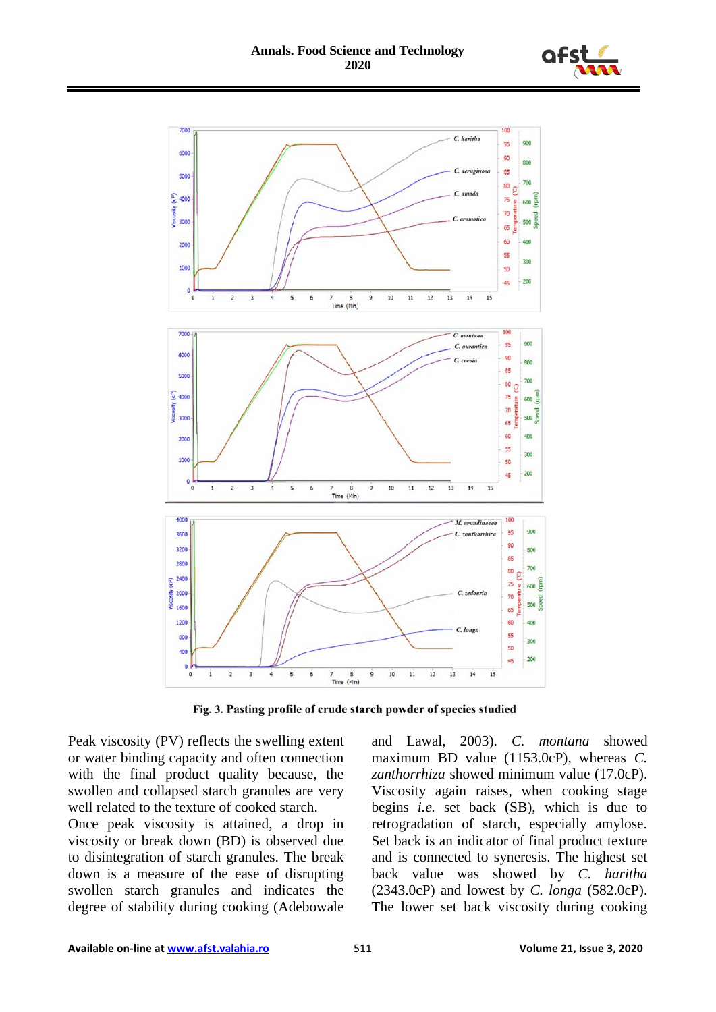



Fig. 3. Pasting profile of crude starch powder of species studied

Peak viscosity (PV) reflects the swelling extent or water binding capacity and often connection with the final product quality because, the swollen and collapsed starch granules are very well related to the texture of cooked starch.

Once peak viscosity is attained, a drop in viscosity or break down (BD) is observed due to disintegration of starch granules. The break down is a measure of the ease of disrupting swollen starch granules and indicates the degree of stability during cooking (Adebowale

and Lawal, 2003). *C. montana* showed maximum BD value (1153.0cP), whereas *C. zanthorrhiza* showed minimum value (17.0cP). Viscosity again raises, when cooking stage begins *i.e.* set back (SB), which is due to retrogradation of starch, especially amylose. Set back is an indicator of final product texture and is connected to syneresis. The highest set back value was showed by *C. haritha*  (2343.0cP) and lowest by *C. longa* (582.0cP). The lower set back viscosity during cooking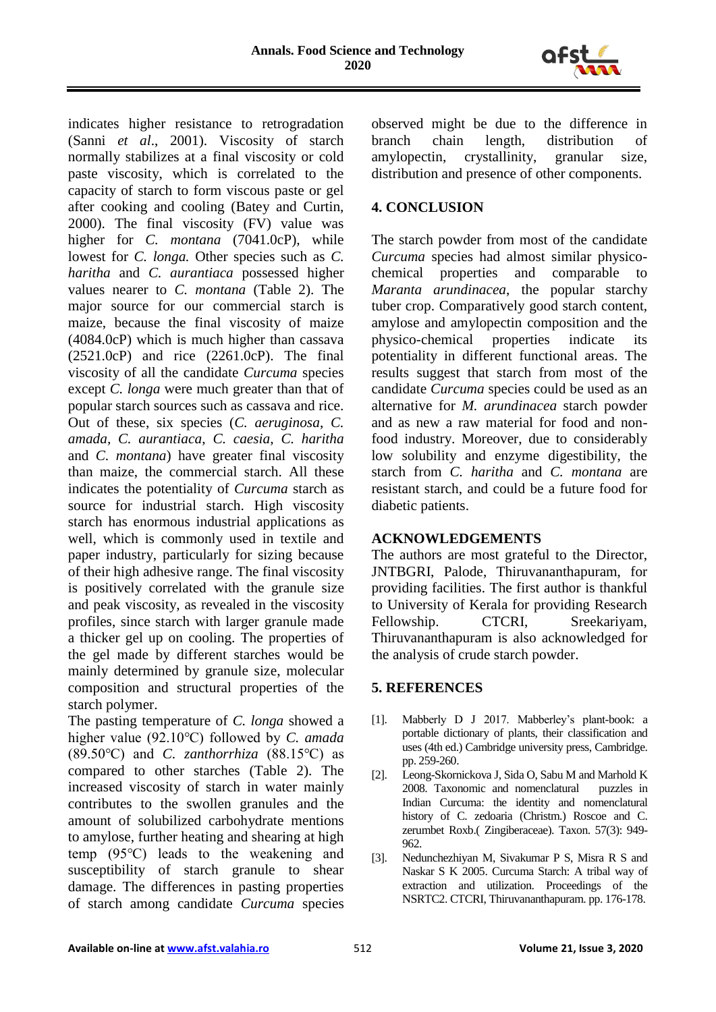

indicates higher resistance to retrogradation (Sanni *et al*., 2001). Viscosity of starch normally stabilizes at a final viscosity or cold paste viscosity, which is correlated to the capacity of starch to form viscous paste or gel after cooking and cooling (Batey and Curtin, 2000). The final viscosity (FV) value was higher for *C. montana* (7041.0cP), while lowest for *C. longa.* Other species such as *C. haritha* and *C. aurantiaca* possessed higher values nearer to *C. montana* (Table 2). The major source for our commercial starch is maize, because the final viscosity of maize (4084.0cP) which is much higher than cassava (2521.0cP) and rice (2261.0cP). The final viscosity of all the candidate *Curcuma* species except *C. longa* were much greater than that of popular starch sources such as cassava and rice. Out of these, six species (*C. aeruginosa*, *C. amada, C. aurantiaca*, *C. caesia*, *C. haritha* and *C. montana*) have greater final viscosity than maize, the commercial starch. All these indicates the potentiality of *Curcuma* starch as source for industrial starch. High viscosity starch has enormous industrial applications as well, which is commonly used in textile and paper industry, particularly for sizing because of their high adhesive range. The final viscosity is positively correlated with the granule size and peak viscosity, as revealed in the viscosity profiles, since starch with larger granule made a thicker gel up on cooling. The properties of the gel made by different starches would be mainly determined by granule size, molecular composition and structural properties of the starch polymer.

The pasting temperature of *C. longa* showed a higher value (92.10℃) followed by *C. amada* (89.50℃) and *C. zanthorrhiza* (88.15℃) as compared to other starches (Table 2). The increased viscosity of starch in water mainly contributes to the swollen granules and the amount of solubilized carbohydrate mentions to amylose, further heating and shearing at high temp (95℃) leads to the weakening and susceptibility of starch granule to shear damage. The differences in pasting properties of starch among candidate *Curcuma* species observed might be due to the difference in branch chain length, distribution of amylopectin, crystallinity, granular size, distribution and presence of other components.

# **4. CONCLUSION**

The starch powder from most of the candidate *Curcuma* species had almost similar physicochemical properties and comparable to *Maranta arundinacea*, the popular starchy tuber crop. Comparatively good starch content, amylose and amylopectin composition and the physico-chemical properties indicate its potentiality in different functional areas. The results suggest that starch from most of the candidate *Curcuma* species could be used as an alternative for *M. arundinacea* starch powder and as new a raw material for food and nonfood industry. Moreover, due to considerably low solubility and enzyme digestibility, the starch from *C. haritha* and *C. montana* are resistant starch, and could be a future food for diabetic patients.

## **ACKNOWLEDGEMENTS**

The authors are most grateful to the Director, JNTBGRI, Palode, Thiruvananthapuram, for providing facilities. The first author is thankful to University of Kerala for providing Research Fellowship. CTCRI, Sreekariyam, Thiruvananthapuram is also acknowledged for the analysis of crude starch powder.

# **5. REFERENCES**

- [1]. Mabberly D J 2017. Mabberley's plant-book: a portable dictionary of plants, their classification and uses (4th ed.) Cambridge university press, Cambridge. pp. 259-260.
- [2]. Leong-Skornickova J, Sida O, Sabu M and Marhold K 2008. Taxonomic and nomenclatural puzzles in Indian Curcuma: the identity and nomenclatural history of C. zedoaria (Christm.) Roscoe and C. zerumbet Roxb.( Zingiberaceae). Taxon. 57(3): 949- 962.
- [3]. Nedunchezhiyan M, Sivakumar P S, Misra R S and Naskar S K 2005. Curcuma Starch: A tribal way of extraction and utilization. Proceedings of the NSRTC2. CTCRI, Thiruvananthapuram. pp. 176-178.